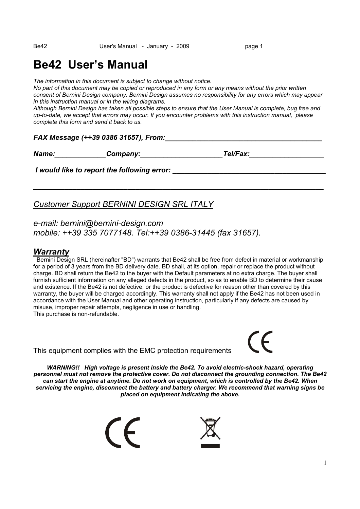# **Be42 User's Manual**

*The information in this document is subject to change without notice.* 

*No part of this document may be copied or reproduced in any form or any means without the prior written consent of Bernini Design company. Bernini Design assumes no responsibility for any errors which may appear in this instruction manual or in the wiring diagrams.* 

*Although Bernini Design has taken all possible steps to ensure that the User Manual is complete, bug free and up-to-date, we accept that errors may occur. If you encounter problems with this instruction manual, please complete this form and send it back to us.* 

*\_\_\_\_\_\_\_\_\_\_\_\_\_\_\_\_\_\_\_\_\_\_\_\_\_\_\_\_\_\_\_\_\_\_\_\_\_\_\_\_\_\_\_\_\_\_\_\_\_\_\_\_\_\_\_\_\_\_\_\_\_\_\_\_\_\_\_\_\_\_\_\_\_\_* 

#### *FAX Message (++39 0386 31657), From:\_\_\_\_\_\_\_\_\_\_\_\_\_\_\_\_\_\_\_\_\_\_\_\_\_\_\_\_\_\_\_\_\_\_\_\_\_\_\_\_*

*Name:\_\_\_\_\_\_\_\_\_\_\_\_\_Company:\_\_\_\_\_\_\_\_\_\_\_\_\_\_\_\_\_\_\_\_\_Tel/Fax:\_\_\_\_\_\_\_\_\_\_\_\_\_\_\_\_\_\_\_* 

*I* would like to report the following error:

# *Customer Support BERNINI DESIGN SRL ITALY*

### *e-mail: bernini@bernini-design.com mobile: ++39 335 7077148. Tel:++39 0386-31445 (fax 31657).*

### *Warranty*

 Bernini Design SRL (hereinafter "BD") warrants that Be42 shall be free from defect in material or workmanship for a period of 3 years from the BD delivery date. BD shall, at its option, repair or replace the product without charge. BD shall return the Be42 to the buyer with the Default parameters at no extra charge. The buyer shall furnish sufficient information on any alleged defects in the product, so as to enable BD to determine their cause and existence. If the Be42 is not defective, or the product is defective for reason other than covered by this warranty, the buyer will be charged accordingly. This warranty shall not apply if the Be42 has not been used in accordance with the User Manual and other operating instruction, particularly if any defects are caused by misuse, improper repair attempts, negligence in use or handling. This purchase is non-refundable.

This equipment complies with the EMC protection requirements

*WARNING!! High voltage is present inside the Be42. To avoid electric-shock hazard, operating personnel must not remove the protective cover. Do not disconnect the grounding connection. The Be42 can start the engine at anytime. Do not work on equipment, which is controlled by the Be42. When servicing the engine, disconnect the battery and battery charger. We recommend that warning signs be placed on equipment indicating the above.* 



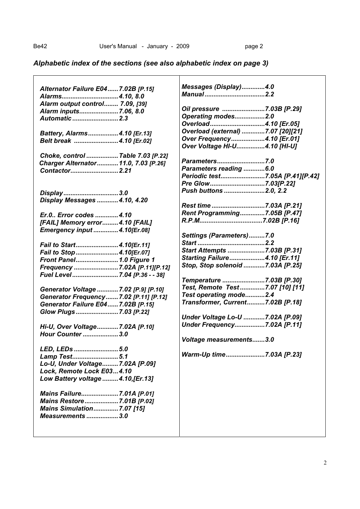# *Alphabetic index of the sections (see also alphabetic index on page 3)*

| Alternator Failure E04  7.02B [P.15]                 | Messages (Display)4.0             |
|------------------------------------------------------|-----------------------------------|
| Alarms4.10, 8.0                                      |                                   |
| Alarm output control 7.09, [39]                      |                                   |
| Alarm inputs7.06, 8.0                                | Oil pressure 7.03B [P.29]         |
| Automatic  2.3                                       | Operating modes2.0                |
|                                                      | Overload4.10 [Er.05]              |
| Battery, Alarms4.10 [Er.13]                          | Overload (external) 7.07 [20][21] |
| Belt break  4.10 [Er.02]                             | Over Frequency4.10 [Er.01]        |
|                                                      | Over Voltage HI-U4.10 [HI-U]      |
| Choke, control  Table 7.03 [P.22]                    |                                   |
| Charger Alternator 11.0, 7.03 [P.26]                 | Parameters7.0                     |
| Contactor2.21                                        | Parameters reading 6.0            |
|                                                      | Periodic test7.05A [P.41][P.42]   |
|                                                      | Pre Glow7.03[P.22]                |
| Display3.0                                           | Push buttons 2.0, 2.2             |
| Display Messages  4.10, 4.20                         |                                   |
|                                                      | Rest time7.03A [P.21]             |
| Er.0 Error codes 4.10                                | Rent Programming7.05B [P.47]      |
| [FAIL] Memory error4.10 [FAIL]                       |                                   |
| Emergency input  4.10[Er.08]                         |                                   |
|                                                      | Settings (Parameters)7.0          |
| Fail to Start4.10[Er.11]                             |                                   |
| Fail to Stop 4.10[Er.07]                             | Start Attempts 7.03B [P.31]       |
| Front Panel 1.0 Figure 1                             | Starting Failure4.10 [Er.11]      |
| Frequency  7.02A [P.11][P.12]                        | Stop, Stop solenoid 7.03A [P.25]  |
| Fuel Level  7.04 [P.36 - - 38]                       |                                   |
|                                                      | Temperature 7.03B [P.30]          |
| Generator Voltage  7.02 [P.9] [P.10]                 | Test, Remote Test7.07 [10] [11]   |
| Generator Frequency 7.02 [P.11] [P.12]               | Test operating mode2.4            |
| Generator Failure E04  7.02B [P.15]                  | Transformer, Current7.02B [P.18]  |
| Glow Plugs7.03 [P.22]                                |                                   |
|                                                      | Under Voltage Lo-U 7.02A [P.09]   |
| Hi-U, Over Voltage7.02A [P.10]                       | Under Frequency7.02A [P.11]       |
| Hour Counter3.0                                      |                                   |
|                                                      | Voltage measurements3.0           |
| LED, LEDs 5.0                                        |                                   |
|                                                      | Warm-Up time7.03A [P.23]          |
| Lamp Test5.1<br>Lo-U, Under Voltage7.02A [P.09]      |                                   |
| Lock, Remote Lock E034.10                            |                                   |
|                                                      |                                   |
| Low Battery voltage  4.10, [Er.13]                   |                                   |
|                                                      |                                   |
| Mains Failure7.01A [P.01]                            |                                   |
| Mains Restore7.01B [P.02]                            |                                   |
| <b>Mains Simulation7.07 [15]</b><br>Measurements 3.0 |                                   |
|                                                      |                                   |
|                                                      |                                   |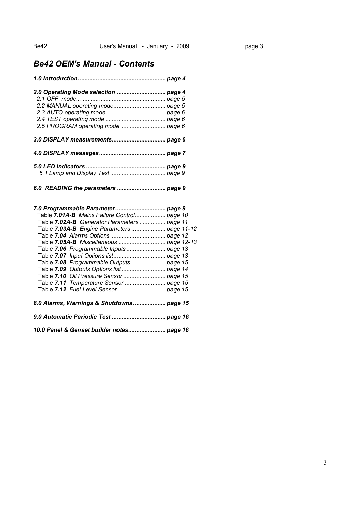# *Be42 OEM's Manual - Contents*

| 2.0 Operating Mode selection  page 4        |  |
|---------------------------------------------|--|
|                                             |  |
|                                             |  |
|                                             |  |
|                                             |  |
| 2.5 PROGRAM operating mode  page 6          |  |
|                                             |  |
|                                             |  |
|                                             |  |
|                                             |  |
|                                             |  |
|                                             |  |
| Table 7.01A-B Mains Failure Control page 10 |  |
| Table 7.02A-B Generator Parameters  page 11 |  |
| Table 7.03A-B Engine Parameters  page 11-12 |  |
|                                             |  |
|                                             |  |
|                                             |  |
|                                             |  |
| Table 7.08 Programmable Outputs  page 15    |  |
| Table 7.09 Outputs Options list  page 14    |  |
| Table 7.10 Oil Pressure Sensor  page 15     |  |
|                                             |  |
|                                             |  |
| 8.0 Alarms, Warnings & Shutdowns page 15    |  |
|                                             |  |
| 10.0 Panel & Genset builder notes page 16   |  |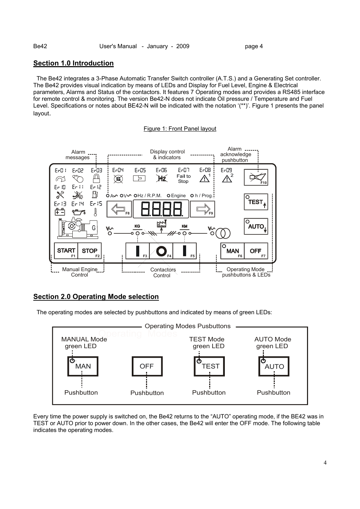#### **Section 1.0 Introduction**

 The Be42 integrates a 3-Phase Automatic Transfer Switch controller (A.T.S.) and a Generating Set controller. The Be42 provides visual indication by means of LEDs and Display for Fuel Level, Engine & Electrical parameters, Alarms and Status of the contactors. It features 7 Operating modes and provides a RS485 interface for remote control & monitoring. The version Be42-N does not indicate Oil pressure / Temperature and Fuel Level. Specifications or notes about BE42-N will be indicated with the notation '(\*\*)'. Figure 1 presents the panel layout.

Figure 1: Front Panel layout



#### **Section 2.0 Operating Mode selection**

The operating modes are selected by pushbuttons and indicated by means of green LEDs:



Every time the power supply is switched on, the Be42 returns to the "AUTO" operating mode, if the BE42 was in TEST or AUTO prior to power down. In the other cases, the Be42 will enter the OFF mode. The following table indicates the operating modes.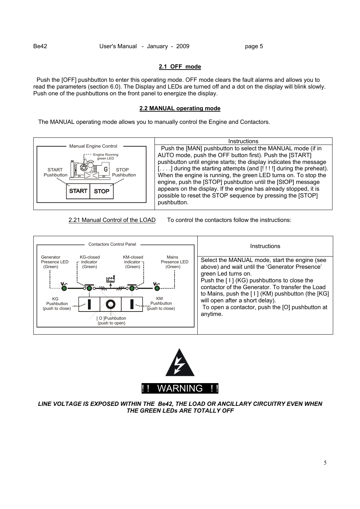#### **2.1 OFF mode**

 Push the [OFF] pushbutton to enter this operating mode. OFF mode clears the fault alarms and allows you to read the parameters (section 6.0). The Display and LEDs are turned off and a dot on the display will blink slowly. Push one of the pushbuttons on the front panel to energize the display.

#### **2.2 MANUAL operating mode**

The MANUAL operating mode allows you to manually control the Engine and Contactors.



2.21 Manual Control of the LOAD To control the contactors follow the instructions:





*LINE VOLTAGE IS EXPOSED WITHIN THE Be42, THE LOAD OR ANCILLARY CIRCUITRY EVEN WHEN THE GREEN LEDs ARE TOTALLY OFF*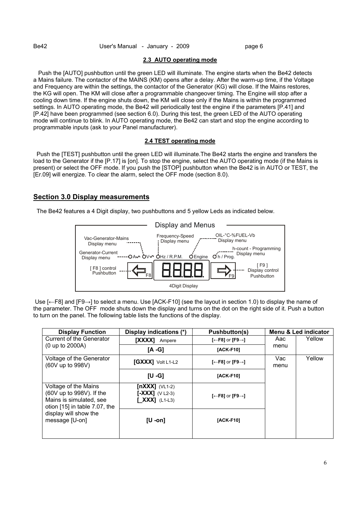#### **2.3 AUTO operating mode**

 Push the [AUTO] pushbutton until the green LED will illuminate. The engine starts when the Be42 detects a Mains failure. The contactor of the MAINS (KM) opens after a delay. After the warm-up time, if the Voltage and Frequency are within the settings, the contactor of the Generator (KG) will close. If the Mains restores, the KG will open. The KM will close after a programmable changeover timing. The Engine will stop after a cooling down time. If the engine shuts down, the KM will close only if the Mains is within the programmed settings. In AUTO operating mode, the Be42 will periodically test the engine if the parameters [P.41] and [P.42] have been programmed (see section 6.0). During this test, the green LED of the AUTO operating mode will continue to blink. In AUTO operating mode, the Be42 can start and stop the engine according to programmable inputs (ask to your Panel manufacturer).

#### **2.4 TEST operating mode**

 Push the [TEST] pushbutton until the green LED will illuminate.The Be42 starts the engine and transfers the load to the Generator if the [P.17] is [on]. To stop the engine, select the AUTO operating mode (if the Mains is present) or select the OFF mode. If you push the [STOP] pushbutton when the Be42 is in AUTO or TEST, the [Er.09] will energize. To clear the alarm, select the OFF mode (section 8.0).

#### **Section 3.0 Display measurements**

The Be42 features a 4 Digit display, two pushbuttons and 5 yellow Leds as indicated below.



 Use [←F8] and [F9→] to select a menu. Use [ACK-F10] (see the layout in section 1.0) to display the name of the parameter. The OFF mode shuts down the display and turns on the dot on the right side of it. Push a button to turn on the panel. The following table lists the functions of the display.

| <b>Display Function</b>                                                                                                    | Display indications (*)                                           | Pushbutton(s)                             |             | Menu & Led indicator |
|----------------------------------------------------------------------------------------------------------------------------|-------------------------------------------------------------------|-------------------------------------------|-------------|----------------------|
| Current of the Generator                                                                                                   | <b>TXXXX1</b><br>Ampere                                           | $[-F8]$ or $[F9 \rightarrow]$             | Aac         | Yellow               |
| $(0 \text{ up to } 2000 \text{A})$                                                                                         | [A -G]                                                            | [ACK-F10]                                 | menu        |                      |
| Voltage of the Generator<br>(60V up to 998V)                                                                               | <b>[GXXX]</b> Volt L1-L2                                          | [ $\leftarrow$ F8] or [F9 $\rightarrow$ ] | Vac<br>menu | Yellow               |
|                                                                                                                            | $[U - G]$                                                         | [ACK-F10]                                 |             |                      |
| Voltage of the Mains<br>$(60V \text{ up to } 998V)$ . If the<br>Mains is simulated, see<br>otion $[15]$ in table 7.07, the | [nXXX] $(VL1-2)$<br>$[-XXX]$ (V L2-3)<br>$\mathbf{XXX}$ ] (L1-L3) | [ $\leftarrow$ F8] or [F9 $\rightarrow$ ] |             |                      |
| display will show the<br>message [U-on]                                                                                    | [U -on]                                                           | [ACK-F10]                                 |             |                      |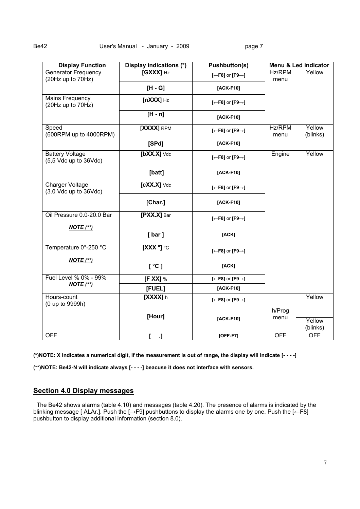| <b>Display Function</b>                              | Display indications (*) | <b>Pushbutton(s)</b>          | Menu & Led indicator |                    |  |
|------------------------------------------------------|-------------------------|-------------------------------|----------------------|--------------------|--|
| <b>Generator Frequency</b><br>(20Hz up to 70Hz)      | $[GXXX]$ Hz             | $[-F8]$ or $[F9 \rightarrow]$ | Hz/RPM<br>menu       | Yellow             |  |
|                                                      | $[H - G]$               | $[ACK-F10]$                   |                      |                    |  |
| <b>Mains Frequency</b><br>(20Hz up to 70Hz)          | $[nXXX]$ Hz             | $[-F8]$ or $[F9 \rightarrow]$ |                      |                    |  |
|                                                      | $[H - n]$               | $[ACK-F10]$                   |                      |                    |  |
| Speed<br>(600RPM up to 4000RPM)                      | [XXXX] RPM              | $[-F8]$ or $[F9 \rightarrow]$ | Hz/RPM<br>menu       | Yellow<br>(blinks) |  |
|                                                      | [SPd]                   | [ACK-F10]                     |                      |                    |  |
| <b>Battery Voltage</b><br>$(5,5$ Vdc up to $36$ Vdc) | $[bXX.X]$ Vdc           | [←F8] or [F9→]                | Engine               | Yellow             |  |
|                                                      | [batt]                  | $[ACK-F10]$                   |                      |                    |  |
| Charger Voltage<br>$(3.0$ Vdc up to $36$ Vdc)        | $[cXX.X]$ Vdc           | [←F8] or [F9→]                |                      |                    |  |
|                                                      | [Char.]                 | [ACK-F10]                     |                      |                    |  |
| Oil Pressure 0.0-20.0 Bar                            | [PXX.X] Bar             | $[-F8]$ or $[F9 \rightarrow]$ |                      |                    |  |
| $NOTE$ (**)                                          | [bar]                   | [ACK]                         |                      |                    |  |
| Temperature 0°-250 °C                                | $\overline{[XXX]}\circ$ | $[-F8]$ or $[F9 \rightarrow]$ |                      |                    |  |
| $NOTE$ (**)                                          | [°C]                    | [ACK]                         |                      |                    |  |
| Fuel Level % 0% - 99%                                | [F XX] $%$              | $[-F8]$ or $[F9 \rightarrow]$ |                      |                    |  |
| $NOTE$ (**)                                          | [FUEL]                  | [ACK-F10]                     |                      |                    |  |
| Hours-count<br>(0 up to 9999h)                       | $[XXX]$ h               | [←F8] or [F9→]                |                      | Yellow             |  |
|                                                      |                         |                               | h/Prog               |                    |  |
|                                                      | [Hour]                  | [ACK-F10]                     | menu                 | Yellow<br>(blinks) |  |
| <b>OFF</b>                                           | J.                      | $[OFF-F7]$                    | <b>OFF</b>           | <b>OFF</b>         |  |

**(\*)NOTE: X indicates a numerical digit, if the measurement is out of range, the display will indicate [- - - -]** 

**(\*\*)NOTE: Be42-N will indicate always [- - - -] beacuse it does not interface with sensors.** 

#### **Section 4.0 Display messages**

 The Be42 shows alarms (table 4.10) and messages (table 4.20). The presence of alarms is indicated by the blinking message [ ALAr.]. Push the [→F9] pushbuttons to display the alarms one by one. Push the [←F8] pushbutton to display additional information (section 8.0).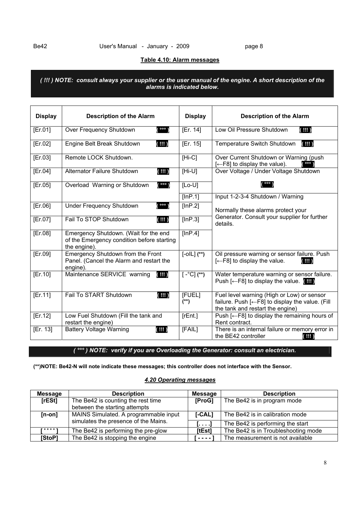#### **Table 4.10: Alarm messages**

*( !!! ) NOTE: consult always your supplier or the user manual of the engine. A short description of the alarms is indicated below.* 

| <b>Display</b> | <b>Description of the Alarm</b>                                                                     | <b>Display</b>       | <b>Description of the Alarm</b>                                                                                                                |
|----------------|-----------------------------------------------------------------------------------------------------|----------------------|------------------------------------------------------------------------------------------------------------------------------------------------|
| [Er.01]        | $($ $\circ \circ \circ$ )<br>Over Frequency Shutdown                                                | [Er. 14]             | Low Oil Pressure Shutdown<br>$($ !!! $)$                                                                                                       |
| [Er.02]        | $($ !!! $)$<br>Engine Belt Break Shutdown                                                           | [Er. 15]             | $($ !!! $)$<br>Temperature Switch Shutdown                                                                                                     |
| [Er.03]        | Remote LOCK Shutdown.                                                                               | $[Hi-C]$             | Over Current Shutdown or Warning (push<br>$\overline{ }$ 000<br>$[-F8]$ to display the value).                                                 |
| [Er.04]        | <b>Alternator Failure Shutdown</b><br>(III)                                                         | $[Hi-U]$             | Over Voltage / Under Voltage Shutdown                                                                                                          |
| [Er.05]        | (0, 0)<br>Overload Warning or Shutdown                                                              | $[Lo-U]$             | 000                                                                                                                                            |
|                |                                                                                                     | [InP.1]              | Input 1-2-3-4 Shutdown / Warning                                                                                                               |
| [Er.06]        | $($ $\circ \circ \circ$ )<br><b>Under Frequency Shutdown</b>                                        | [lnP.2]              | Normally these alarms protect your                                                                                                             |
| [Er.07]        | Fail To STOP Shutdown<br>(!!!)                                                                      | [lnP.3]              | Generator. Consult your supplier for further<br>details.                                                                                       |
| [Er.08]        | Emergency Shutdown. (Wait for the end<br>of the Emergency condition before starting<br>the engine). | [InP.4]              |                                                                                                                                                |
| [Er.09]        | Emergency Shutdown from the Front<br>Panel. (Cancel the Alarm and restart the<br>engine).           | $[-0 L]$ (**)        | Oil pressure warning or sensor failure. Push<br>$\left[-F8\right]$ to display the value.<br>$($ !!! $)$                                        |
| [Er.10]        | (!!!)<br>Maintenance SERVICE warning                                                                | $[\ -^{\circ}C](**)$ | Water temperature warning or sensor failure.<br>Push $\left(-F8\right)$ to display the value. $\left(\mathbf{III}\right)$                      |
| [Er.11]        | (!!!)<br>Fail To START Shutdown                                                                     | [FUEL]<br>(**)       | Fuel level warning (High or Low) or sensor<br>failure. Push $\left[-F8\right]$ to display the value. (Fill<br>the tank and restart the engine) |
| [Er.12]        | Low Fuel Shutdown (Fill the tank and<br>restart the engine)                                         | $[$ rEnt. $]$        | Push $[-F8]$ to display the remaining hours of<br>Rent contract.                                                                               |
| [Er. 13]       | <b>Battery Voltage Warning</b><br>$($ !!! $)$                                                       | [FAIL]               | There is an internal failure or memory error in<br>the BE42 controller<br>(!!!)                                                                |

#### *( °°° ) NOTE: verify if you are Overloading the Generator: consult an electrician.*

**(\*\*)NOTE: Be42-N will note indicate these messages; this controller does not interface with the Sensor.** 

#### *4.20 Operating messages*

| <b>Message</b> | <b>Description</b>                    | <b>Message</b>  | <b>Description</b>                  |
|----------------|---------------------------------------|-----------------|-------------------------------------|
| [rESt]         | The Be42 is counting the rest time    | [ProG]          | The Be42 is in program mode         |
|                | between the starting attempts         |                 |                                     |
| $[n-on]$       | MAINS Simulated. A programmable input | $[ -CAL]$       | The Be42 is in calibration mode     |
|                | simulates the presence of the Mains.  | 1. <sup>.</sup> | The Be42 is performing the start    |
| .              | The Be42 is performing the pre-glow   | [tEst]          | The Be42 is in Troubleshooting mode |
| [StoP]         | The Be42 is stopping the engine       | $\frac{1}{2}$   | The measurement is not available    |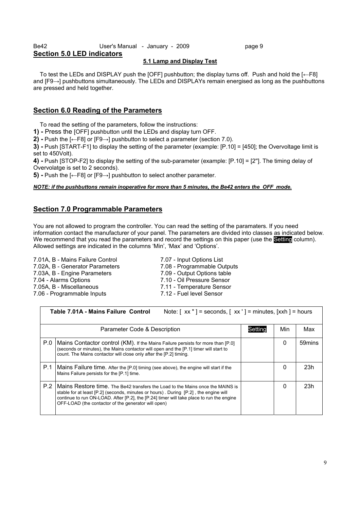#### Be42 **User's Manual - January - 2009 page 9 Section 5.0 LED indicators**

#### **5.1 Lamp and Display Test**

 To test the LEDs and DISPLAY push the [OFF] pushbutton; the display turns off. Push and hold the [←F8] and [F9→] pushbuttons simultaneously. The LEDs and DISPLAYs remain energised as long as the pushbuttons are pressed and held together.

#### **Section 6.0 Reading of the Parameters**

To read the setting of the parameters, follow the instructions:

**1) -** Press the [OFF] pushbutton until the LEDs and display turn OFF.

**2) -** Push the [←F8] or [F9→] pushbutton to select a parameter (section 7.0).

**3) -** Push [START-F1] to display the setting of the parameter (example: [P.10] = [450]; the Overvoltage limit is set to 450Volt).

**4) -** Push [STOP-F2] to display the setting of the sub-parameter (example: [P.10] = [2'']. The timing delay of Overvolatge is set to 2 seconds).

**5)** - Push the [←F8] or [F9→] pushbutton to select another parameter.

#### *NOTE: if the pushbuttons remain inoperative for more than 5 minutes, the Be42 enters the OFF mode.*

#### **Section 7.0 Programmable Parameters**

You are not allowed to program the controller. You can read the setting of the paramaters. If you need information contact the manufacturer of your panel. The parameters are divided into classes as indicated below. We recommend that you read the parameters and record the settings on this paper (use the **Setting** column). Allowed settings are indicated in the columns 'Min', 'Max' and 'Options'.

7.01A, B - Mains Failure Control 7.07 - Input Options List 7.02A, B - Generator Parameters 7.08 - Programmable Outputs 7.03A, B - Engine Parameters 7.09 - Output Options table 7.04 - Alarms Options 7.10 - Oil Pressure Sensor 7.05A, B - Miscellaneous 7.11 - Temperature Sensor 7.06 - Programmable Inputs 7.12 - Fuel level Sensor

|     | Table 7.01A - Mains Failure Control<br>Note: $[xx"]$ = seconds, $[xx']$ = minutes, $[xxh]$ = hours                                                                                                                                                                                                                        |         |     |        |  |  |
|-----|---------------------------------------------------------------------------------------------------------------------------------------------------------------------------------------------------------------------------------------------------------------------------------------------------------------------------|---------|-----|--------|--|--|
|     | Parameter Code & Description                                                                                                                                                                                                                                                                                              | Settino | Min | Max    |  |  |
| P.0 | Mains Contactor control (KM). If the Mains Failure persists for more than [P.0]<br>(seconds or minutes), the Mains contactor will open and the [P.1] timer will start to<br>count. The Mains contactor will close only after the [P.2] timing.                                                                            |         | 0   | 59mins |  |  |
| P.1 | Mains Failure time. After the [P.0] timing (see above), the engine will start if the<br>Mains Failure persists for the [P.1] time.                                                                                                                                                                                        |         | 0   | 23h    |  |  |
| P.2 | Mains Restore time. The Be42 transfers the Load to the Mains once the MAINS is<br>stable for at least [P.2] (seconds, minutes or hours). During [P.2], the engine will<br>continue to run ON-LOAD. After [P.2], the [P.24] timer will take place to run the engine<br>OFF-LOAD (the contactor of the generator will open) |         | 0   | 23h    |  |  |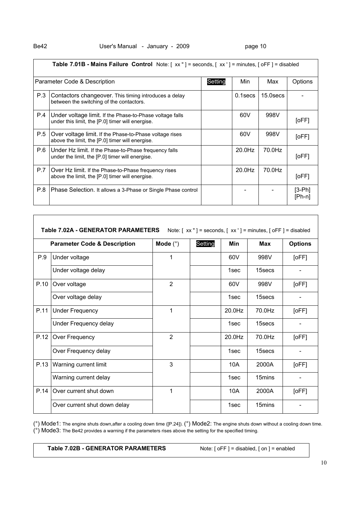|     | Table 7.01B - Mains Failure Control Note: [xx "] = seconds, [xx '] = minutes, [oFF] = disabled               |         |           |             |                    |  |
|-----|--------------------------------------------------------------------------------------------------------------|---------|-----------|-------------|--------------------|--|
|     | Parameter Code & Description                                                                                 | Setting | Min       | Max         | Options            |  |
| P.3 | Contactors changeover. This timing introduces a delay<br>between the switching of the contactors.            |         | 0.1secs   | $15.0$ secs |                    |  |
| P.4 | Under voltage limit. If the Phase-to-Phase voltage falls<br>under this limit, the [P.0] timer will energise. |         | 60V       | 998V        | [oFF]              |  |
| P.5 | Over voltage limit. If the Phase-to-Phase voltage rises<br>above the limit, the [P.0] timer will energise.   |         | 60V       | 998V        | [oFF]              |  |
| P.6 | Under Hz limit. If the Phase-to-Phase frequency falls<br>under the limit, the [P.0] timer will energise.     |         | $20.0$ Hz | 70.0Hz      | [oFF]              |  |
| P.7 | Over Hz limit. If the Phase-to-Phase frequency rises<br>above the limit, the [P.0] timer will energise.      |         | $20.0$ Hz | 70.0Hz      | [oFF]              |  |
| P.8 | Phase Selection. It allows a 3-Phase or Single Phase control                                                 |         |           |             | $[3-Ph]$<br>[Ph-n] |  |

|      | <b>Parameter Code &amp; Description</b> | Mode $(°)$     | Setting | Min    | <b>Max</b> | <b>Options</b> |
|------|-----------------------------------------|----------------|---------|--------|------------|----------------|
| P.9  | Under voltage                           | 1              |         | 60V    | 998V       | [oFF]          |
|      | Under voltage delay                     |                |         | 1sec   | 15secs     |                |
| P.10 | Over voltage                            | 2              |         | 60V    | 998V       | [oFF]          |
|      | Over voltage delay                      |                |         | 1sec   | 15secs     |                |
| P.11 | <b>Under Frequency</b>                  | 1              |         | 20.0Hz | 70.0Hz     | [oFF]          |
|      | Under Frequency delay                   |                |         | 1sec   | 15secs     |                |
| P.12 | Over Frequency                          | $\overline{2}$ |         | 20.0Hz | 70.0Hz     | [oFF]          |
|      | Over Frequency delay                    |                |         | 1sec   | 15secs     |                |
| P.13 | Warning current limit                   | 3              |         | 10A    | 2000A      | [oFF]          |
|      | Warning current delay                   |                |         | 1sec   | 15mins     |                |
| P.14 | Over current shut down                  | 1              |         | 10A    | 2000A      | [oFF]          |
|      | Over current shut down delay            |                |         | 1sec   | 15mins     |                |

( $^{\circ}$ ) Mode1: The engine shuts down,after a cooling down time ([P.24]). ( $^{\circ}$ ) Mode2: The engine shuts down without a cooling down time.  $(°)$  Mode3: The Be42 provides a warning if the parameters rises above the setting for the specified timing.

#### Table 7.02B - GENERATOR PARAMETERS Note: [ oFF ] = disabled, [ on ] = enabled

 $\sqrt{ }$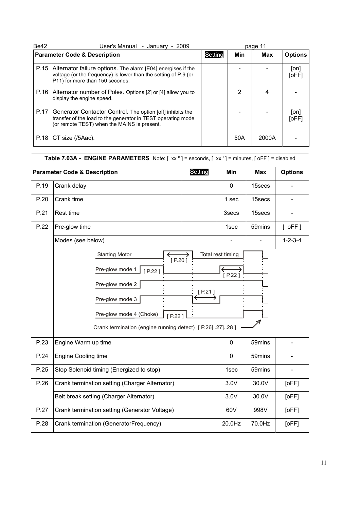| Be42 | User's Manual - January - 2009                                                                                                                                            |  |     | page 11 |                |
|------|---------------------------------------------------------------------------------------------------------------------------------------------------------------------------|--|-----|---------|----------------|
|      | <b>Parameter Code &amp; Description</b>                                                                                                                                   |  | Min | Max     | <b>Options</b> |
| P.15 | Alternator failure options. The alarm [E04] energises if the<br>voltage (or the frequency) is lower than the setting of P.9 (or<br>P11) for more than 150 seconds.        |  |     |         | [on]<br>[oFF]  |
| P.16 | Alternator number of Poles. Options [2] or [4] allow you to<br>display the engine speed.                                                                                  |  | 2   | 4       |                |
| P.17 | Generator Contactor Control. The option [off] inhibits the<br>transfer of the load to the generator in TEST operating mode<br>(or remote TEST) when the MAINS is present. |  |     |         | [on]<br>[oFF]  |
| P.18 | CT size (/5Aac).                                                                                                                                                          |  | 50A | 2000A   |                |

| Table 7.03A - ENGINE PARAMETERS Note: [xx "] = seconds, [xx '] = minutes, [oFF] = disabled |                                                                                                                                                                                                                     |           |                                   |            |                 |  |
|--------------------------------------------------------------------------------------------|---------------------------------------------------------------------------------------------------------------------------------------------------------------------------------------------------------------------|-----------|-----------------------------------|------------|-----------------|--|
|                                                                                            | <b>Parameter Code &amp; Description</b>                                                                                                                                                                             | Setting   | Min                               | <b>Max</b> | <b>Options</b>  |  |
| P.19                                                                                       | Crank delay                                                                                                                                                                                                         |           | $\mathbf 0$                       | 15secs     |                 |  |
| P.20                                                                                       | Crank time                                                                                                                                                                                                          |           | 1 sec                             | 15secs     |                 |  |
| P.21                                                                                       | Rest time                                                                                                                                                                                                           |           | 3secs                             | 15secs     |                 |  |
| P.22                                                                                       | Pre-glow time                                                                                                                                                                                                       |           | 1sec                              | 59mins     | $[$ oFF $]$     |  |
|                                                                                            | Modes (see below)                                                                                                                                                                                                   |           |                                   |            | $1 - 2 - 3 - 4$ |  |
|                                                                                            | <b>Starting Motor</b><br>$[$ P.20 $]$<br>Pre-glow mode 1<br>$[$ P.22 $]$<br>Pre-glow mode 2<br>Pre-glow mode 3<br>Pre-glow mode 4 (Choke)<br>$[$ P.22 ]<br>Crank termination (engine running detect) [ P.26]27]28 ] | $[$ P.21] | Total rest timing<br>$[$ P.22 $]$ |            |                 |  |
| P.23                                                                                       | Engine Warm up time                                                                                                                                                                                                 |           | 0                                 | 59mins     |                 |  |
| P.24                                                                                       | <b>Engine Cooling time</b>                                                                                                                                                                                          |           | 0                                 | 59mins     |                 |  |
| P.25                                                                                       | Stop Solenoid timing (Energized to stop)                                                                                                                                                                            |           | 1sec                              | 59mins     |                 |  |
| P.26                                                                                       | Crank termination setting (Charger Alternator)                                                                                                                                                                      |           | 3.0V                              | 30.0V      | [oFF]           |  |
|                                                                                            | Belt break setting (Charger Alternator)                                                                                                                                                                             |           | 3.0V                              | 30.0V      | [oFF]           |  |
| P.27                                                                                       | Crank termination setting (Generator Voltage)                                                                                                                                                                       |           | 60V                               | 998V       | [oFF]           |  |
| P.28                                                                                       | Crank termination (GeneratorFrequency)                                                                                                                                                                              |           | 20.0Hz                            | 70.0Hz     | [oFF]           |  |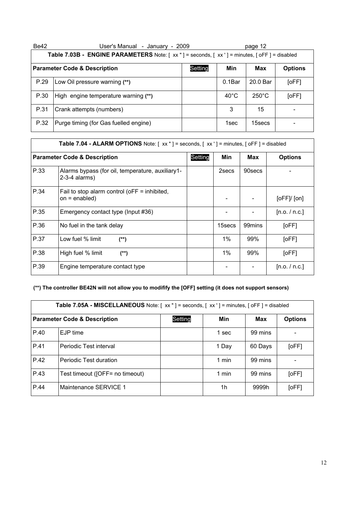| Be42 | User's Manual - January - 2009                                                             |         |                | page 12         |                |  |  |
|------|--------------------------------------------------------------------------------------------|---------|----------------|-----------------|----------------|--|--|
|      | Table 7.03B - ENGINE PARAMETERS Note: [xx "] = seconds, [xx '] = minutes, [oFF] = disabled |         |                |                 |                |  |  |
|      | <b>Parameter Code &amp; Description</b>                                                    | Setting | Min            | Max             | <b>Options</b> |  |  |
| P.29 | Low Oil pressure warning (**)                                                              |         | $0.1$ Bar      | 20.0 Bar        | [OFF]          |  |  |
| P.30 | High engine temperature warning (**)                                                       |         | $40^{\circ}$ C | $250^{\circ}$ C | [OFF]          |  |  |
| P.31 | Crank attempts (numbers)                                                                   |         | 3              | 15              |                |  |  |
| P.32 | Purge timing (for Gas fuelled engine)                                                      |         | 1sec           | 15secs          |                |  |  |

|      | Table 7.04 - ALARM OPTIONS Note: [xx"] = seconds, [xx'] = minutes, [oFF] = disabled |         |        |         |                |  |  |  |  |  |
|------|-------------------------------------------------------------------------------------|---------|--------|---------|----------------|--|--|--|--|--|
|      | <b>Parameter Code &amp; Description</b>                                             | Setting | Min    | Max     | <b>Options</b> |  |  |  |  |  |
| P.33 | Alarms bypass (for oil, temperature, auxiliary1-<br>$2-3-4$ alarms)                 |         | 2secs  | 90 secs |                |  |  |  |  |  |
| P.34 | Fail to stop alarm control ( $oFF =$ inhibited,<br>$on = enabled)$                  |         |        |         | [oFF]/[on]     |  |  |  |  |  |
| P.35 | Emergency contact type (Input #36)                                                  |         |        |         | [n.o. / n.c.]  |  |  |  |  |  |
| P.36 | No fuel in the tank delay                                                           |         | 15secs | 99mins  | [oFF]          |  |  |  |  |  |
| P.37 | Low fuel % limit<br>$^{(*)}$                                                        |         | $1\%$  | 99%     | [oFF]          |  |  |  |  |  |
| P.38 | High fuel % limit<br>$(**)$                                                         |         | $1\%$  | 99%     | [oFF]          |  |  |  |  |  |
| P.39 | Engine temperature contact type                                                     |         |        |         | [n.o. / n.c.]  |  |  |  |  |  |

#### **(\*\*) The controller BE42N will not allow you to modifify the [OFF] setting (it does not support sensors)**

|                                         | Table 7.05A - MISCELLANEOUS Note: [ xx " ] = seconds, [ xx ' ] = minutes, [ oFF ] = disabled |         |       |         |                |  |  |  |  |
|-----------------------------------------|----------------------------------------------------------------------------------------------|---------|-------|---------|----------------|--|--|--|--|
| <b>Parameter Code &amp; Description</b> |                                                                                              | Setting | Min   | Max     | <b>Options</b> |  |  |  |  |
| P.40                                    | EJP time                                                                                     |         | 1 sec | 99 mins |                |  |  |  |  |
| P.41                                    | Periodic Test interval                                                                       |         | 1 Day | 60 Days | [oFF]          |  |  |  |  |
| P.42                                    | Periodic Test duration                                                                       |         | 1 min | 99 mins |                |  |  |  |  |
| P.43                                    | Test timeout ([OFF= no timeout)                                                              |         | 1 min | 99 mins | [oFF]          |  |  |  |  |
| P.44                                    | Maintenance SERVICE 1                                                                        |         | 1h    | 9999h   | [oFF]          |  |  |  |  |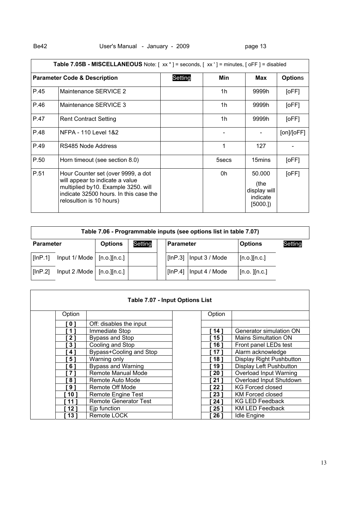### Be42 **User's Manual - January - 2009** Page 13

|      | Table 7.05B - MISCELLANEOUS Note: [xx "] = seconds, [xx '] = minutes, [oFF] = disabled                                                                                             |         |       |                                                       |                |  |  |  |  |  |
|------|------------------------------------------------------------------------------------------------------------------------------------------------------------------------------------|---------|-------|-------------------------------------------------------|----------------|--|--|--|--|--|
|      | <b>Parameter Code &amp; Description</b>                                                                                                                                            | Setting | Min   | Max                                                   | <b>Options</b> |  |  |  |  |  |
| P.45 | Maintenance SERVICE 2                                                                                                                                                              |         | 1h    | 9999h                                                 | [OFF]          |  |  |  |  |  |
| P.46 | Maintenance SERVICE 3                                                                                                                                                              |         | 1h    | 9999h                                                 | [OFF]          |  |  |  |  |  |
| P.47 | <b>Rent Contract Setting</b>                                                                                                                                                       |         | 1h    | 9999h                                                 | [oFF]          |  |  |  |  |  |
| P.48 | NFPA - 110 Level 1&2                                                                                                                                                               |         |       |                                                       | [on]/[oFF]     |  |  |  |  |  |
| P.49 | RS485 Node Address                                                                                                                                                                 |         | 1     | 127                                                   |                |  |  |  |  |  |
| P.50 | Horn timeout (see section 8.0)                                                                                                                                                     |         | 5secs | 15mins                                                | [oFF]          |  |  |  |  |  |
| P.51 | Hour Counter set (over 9999, a dot<br>will appear to indicate a value<br>multiplied by10. Example 3250. will<br>indicate 32500 hours. In this case the<br>relosultion is 10 hours) |         | 0h    | 50.000<br>(the<br>display will<br>indicate<br>[5000.] | [OFF]          |  |  |  |  |  |

| Table 7.06 - Programmable inputs (see options list in table 7.07) |                             |                  |         |           |                |                   |         |  |  |
|-------------------------------------------------------------------|-----------------------------|------------------|---------|-----------|----------------|-------------------|---------|--|--|
| <b>Parameter</b>                                                  |                             | <b>Options</b>   | Setting | Parameter |                | <b>Options</b>    | Setting |  |  |
| [InP.1]                                                           | Input $1/Mode$ [n.o.][n.c.] |                  |         | [lnP.3]   | Input 3 / Mode | [n.o.] [n.c.]     |         |  |  |
| [lnP.2]                                                           | Input 2 /Mode               | $[n.o.$ $[n.c.]$ |         | [InP.4]   | Input 4 / Mode | $[n.o.$ $][n.c.]$ |         |  |  |

| Table 7.07 - Input Options List |                                                   |  |                |                                |  |  |  |  |
|---------------------------------|---------------------------------------------------|--|----------------|--------------------------------|--|--|--|--|
| Option                          |                                                   |  | Option         |                                |  |  |  |  |
| 0 <sub>1</sub>                  | Off: disables the input                           |  |                |                                |  |  |  |  |
| $^{\prime}$ 1 $^{\prime}$       | Immediate Stop                                    |  | 14 1           | Generator simulation ON        |  |  |  |  |
| 21                              | Bypass and Stop                                   |  | 15 1           | Mains Simultation ON           |  |  |  |  |
| $3^{\circ}$                     | Cooling and Stop<br>Bypass+Cooling and Stop<br>41 |  | 16 1           | Front panel LEDs test          |  |  |  |  |
|                                 |                                                   |  | 171            | Alarm acknowledge              |  |  |  |  |
| $5^{\circ}$                     | Warning only                                      |  | 181            | Display Right Pushbutton       |  |  |  |  |
| $6^{\circ}$                     | <b>Bypass and Warning</b>                         |  | 19 1           | <b>Display Left Pushbutton</b> |  |  |  |  |
| 7                               | Remote Manual Mode                                |  | $20^{\circ}$   | Overload Input Warning         |  |  |  |  |
| 8                               | Remote Auto Mode                                  |  | $21^{\degree}$ | Overload Input Shutdown        |  |  |  |  |
| $9^{\circ}$                     | Remote Off Mode                                   |  | <b>221</b>     | <b>KG Forced closed</b>        |  |  |  |  |
| 10 <sup>1</sup>                 | Remote Engine Test                                |  | 23 1           | KM Forced closed               |  |  |  |  |
| 11 I                            | <b>Remote Generator Test</b>                      |  | 24 1           | <b>KG LED Feedback</b>         |  |  |  |  |
| 12 1                            | Ejp function                                      |  | <b>251</b>     | <b>KM LED Feedback</b>         |  |  |  |  |
| 131                             | Remote LOCK                                       |  | <b>26</b> 1    | <b>Idle Engine</b>             |  |  |  |  |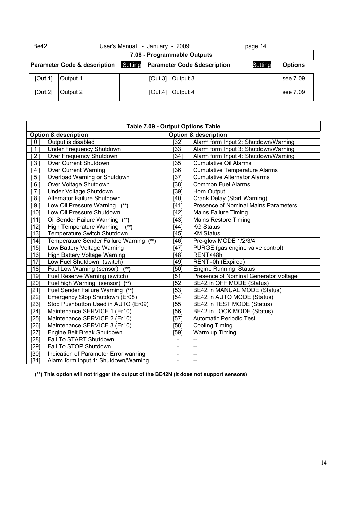| <b>Be42</b>                                                                                   | User's Manual - January - 2009 |  |         |                  | page 14 |                |  |  |  |
|-----------------------------------------------------------------------------------------------|--------------------------------|--|---------|------------------|---------|----------------|--|--|--|
|                                                                                               | 7.08 - Programmable Outputs    |  |         |                  |         |                |  |  |  |
| Setting<br><b>Parameter Code &amp; description</b><br><b>Parameter Code &amp; description</b> |                                |  |         |                  |         | <b>Options</b> |  |  |  |
| [Out.1]                                                                                       | Output 1                       |  |         | [Out.3] Output 3 |         | see 7.09       |  |  |  |
| [Out.2]                                                                                       | Output 2                       |  | [Out.4] | Output 4         |         | see 7.09       |  |  |  |

|                | Table 7.09 - Output Options Table         |                                 |                                              |  |  |  |  |  |
|----------------|-------------------------------------------|---------------------------------|----------------------------------------------|--|--|--|--|--|
|                | <b>Option &amp; description</b>           | <b>Option &amp; description</b> |                                              |  |  |  |  |  |
| 0 <sub>1</sub> | Output is disabled                        | [32]                            | Alarm form Input 2: Shutdown/Warning         |  |  |  |  |  |
| 1 ]            | <b>Under Frequency Shutdown</b>           | [33]                            | Alarm form Input 3: Shutdown/Warning         |  |  |  |  |  |
| 21             | Over Frequency Shutdown                   | [34]                            | Alarm form Input 4: Shutdown/Warning         |  |  |  |  |  |
| 31             | Over Current Shutdown                     | $[35]$                          | <b>Cumulative Oil Alarms</b>                 |  |  |  |  |  |
| 4              | <b>Over Current Warning</b>               | [36]                            | <b>Cumulative Temperature Alarms</b>         |  |  |  |  |  |
| 51             | Overload Warning or Shutdown              | [37]                            | <b>Cumulative Alternator Alarms</b>          |  |  |  |  |  |
| 6 <sup>1</sup> | Over Voltage Shutdown                     | [38]                            | <b>Common Fuel Alarms</b>                    |  |  |  |  |  |
| 71             | Under Voltage Shutdown                    | $[39]$                          | Horn Output                                  |  |  |  |  |  |
| 8 <sup>1</sup> | Alternator Failure Shutdown               | [40]                            | Crank Delay (Start Warning)                  |  |  |  |  |  |
| 9 <sub>1</sub> | Low Oil Pressure Warning (**)             | [41]                            | <b>Presence of Nominal Mains Parameters</b>  |  |  |  |  |  |
| $[10]$         | Low Oil Pressure Shutdown                 | $[42]$                          | <b>Mains Failure Timing</b>                  |  |  |  |  |  |
| [11]           | Oil Sender Failure Warning (**)           | [43]                            | <b>Mains Restore Timing</b>                  |  |  |  |  |  |
| 12]            | $(**)$<br><b>High Temperature Warning</b> | [44]                            | <b>KG Status</b>                             |  |  |  |  |  |
| [13]           | Temperature Switch Shutdown               | $[45]$                          | <b>KM Status</b>                             |  |  |  |  |  |
| [14]           | Temperature Sender Failure Warning (**)   | [46]                            | Pre-glow MODE 1/2/3/4                        |  |  |  |  |  |
| [15]           | Low Battery Voltage Warning               | $[47]$                          | PURGE (gas engine valve control)             |  |  |  |  |  |
| [16]           | High Battery Voltage Warning              | [48]                            | RENT<48h                                     |  |  |  |  |  |
| [17]           | Low Fuel Shutdown (switch)                | [49]                            | RENT=0h (Expired)                            |  |  |  |  |  |
| $18$ ]         | Fuel Low Warning (sensor)                 | [50]                            | <b>Engine Running Status</b>                 |  |  |  |  |  |
| [19]           | Fuel Reserve Warning (switch)             | [51]                            | <b>Presence of Nominal Generator Voltage</b> |  |  |  |  |  |
| [20]           | Fuel high Warning (sensor) (**)           | $[52]$                          | BE42 in OFF MODE (Status)                    |  |  |  |  |  |
| [21]           | Fuel Sender Failure Warning (**)          | [53]                            | BE42 in MANUAL MODE (Status)                 |  |  |  |  |  |
| $[22]$         | Emergency Stop Shutdown (Er08)            | [54]                            | BE42 in AUTO MODE (Status)                   |  |  |  |  |  |
| $[23]$         | Stop Pushbutton Used in AUTO (Er09)       | [55]                            | BE42 in TEST MODE (Status)                   |  |  |  |  |  |
| [24]           | Maintenance SERVICE 1 (Er10)              | [56]                            | BE42 in LOCK MODE (Status)                   |  |  |  |  |  |
| $[25]$         | Maintenance SERVICE 2 (Er10)              | $[57]$                          | <b>Automatic Periodic Test</b>               |  |  |  |  |  |
| [26]           | Maintenance SERVICE 3 (Er10)              | [58]                            | <b>Cooling Timing</b>                        |  |  |  |  |  |
| $[27]$         | Engine Belt Break Shutdown                | $[59]$                          | Warm up Timing                               |  |  |  |  |  |
| [28]           | Fail To START Shutdown                    |                                 | --                                           |  |  |  |  |  |
| $[29]$         | Fail To STOP Shutdown                     |                                 | $\overline{\phantom{a}}$                     |  |  |  |  |  |
| [30]           | Indication of Parameter Error warning     | $\overline{\phantom{a}}$        | --                                           |  |  |  |  |  |
| $[31]$         | Alarm form Input 1: Shutdown/Warning      | $\qquad \qquad \blacksquare$    | --                                           |  |  |  |  |  |

 **(\*\*) This option will not trigger the output of the BE42N (it does not support sensors)**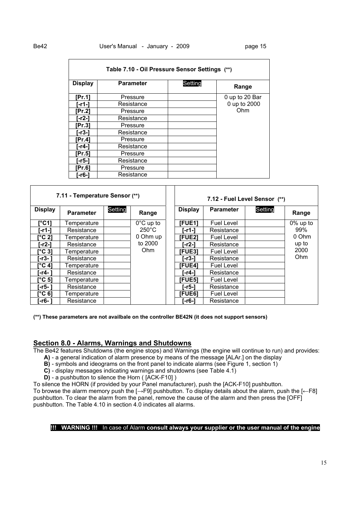| Table 7.10 - Oil Pressure Sensor Settings (**) |                  |         |                |  |  |  |  |  |
|------------------------------------------------|------------------|---------|----------------|--|--|--|--|--|
| <b>Display</b>                                 | <b>Parameter</b> | Setting | Range          |  |  |  |  |  |
| [Pr.1]                                         | Pressure         |         | 0 up to 20 Bar |  |  |  |  |  |
| i-r1-1                                         | Resistance       |         | 0 up to 2000   |  |  |  |  |  |
| Pr.21                                          | Pressure         |         | Ohm            |  |  |  |  |  |
| i-r2-1                                         | Resistance       |         |                |  |  |  |  |  |
| [Pr.3]                                         | Pressure         |         |                |  |  |  |  |  |
| [-r3-]                                         | Resistance       |         |                |  |  |  |  |  |
| [Pr.4]                                         | Pressure         |         |                |  |  |  |  |  |
| i-r4-1                                         | Resistance       |         |                |  |  |  |  |  |
| [Pr.5]                                         | Pressure         |         |                |  |  |  |  |  |
| i-r5-1                                         | Resistance       |         |                |  |  |  |  |  |
| [Pr.6]                                         | Pressure         |         |                |  |  |  |  |  |
| ⊺-r6-1                                         | Resistance       |         |                |  |  |  |  |  |

|                 | 7.11 - Temperature Sensor (**) |         |                     |                | 7.12 - Fuel Level Sensor (**) |         |          |
|-----------------|--------------------------------|---------|---------------------|----------------|-------------------------------|---------|----------|
| <b>Display</b>  | <b>Parameter</b>               | Setting | Range               | <b>Display</b> | <b>Parameter</b>              | Setting | Range    |
| [°C1]           | Temperature                    |         | $0^{\circ}$ C up to | <b>[FUE1]</b>  | <b>Fuel Level</b>             |         | 0% up to |
| [-r1-]          | Resistance                     |         | $250^{\circ}$ C     | r-r1-1         | Resistance                    |         | 99%      |
| $\Gamma$ °C 21  | Temperature                    |         | 0 Ohm up            | <b>IFUE21</b>  | <b>Fuel Level</b>             |         | 0 Ohm    |
| [-r2-]          | Resistance                     |         | to 2000             | i-r2-1         | Resistance                    |         | up to    |
| [°C 3]          | Temperature                    |         | Ohm                 | <b>IFUE31</b>  | <b>Fuel Level</b>             |         | 2000     |
| [-r3- ]         | Resistance                     |         |                     | [-r3-]         | Resistance                    |         | Ohm      |
| ľ°C 41          | Temperature                    |         |                     | <b>IFUE41</b>  | <b>Fuel Level</b>             |         |          |
| i-r4- 1         | Resistance                     |         |                     | i-r4-1         | Resistance                    |         |          |
| [°C 5]          | Temperature                    |         |                     | <b>IFUE51</b>  | <b>Fuel Level</b>             |         |          |
| [-r5- ]         | Resistance                     |         |                     | [-r5-]         | Resistance                    |         |          |
| $C^{\circ}C$ 6] | Temperature                    |         |                     | <b>IFUE61</b>  | <b>Fuel Level</b>             |         |          |
| [-r6- ]         | Resistance                     |         |                     | [-r6-]         | Resistance                    |         |          |

**(\*\*) These parameters are not availbale on the controller BE42N (it does not support sensors)** 

#### **Section 8.0 - Alarms, Warnings and Shutdowns**

The Be42 features Shutdowns (the engine stops) and Warnings (the engine will continue to run) and provides:

- **A)** a general indication of alarm presence by means of the message [ALAr.] on the display
- **B)** symbols and ideograms on the front panel to indicate alarms (see Figure 1, section 1)
- **C)** display messages indicating warnings and shutdowns (see Table 4.1)
- **D)** a pushbutton to silence the Horn ( [ACK-F10] )

To silence the HORN (if provided by your Panel manufacturer), push the [ACK-F10] pushbutton.

To browse the alarm memory push the [→F9] pushbutton. To display details about the alarm, push the [←F8] pushbutton. To clear the alarm from the panel, remove the cause of the alarm and then press the [OFF] pushbutton. The Table 4.10 in section 4.0 indicates all alarms.

#### **!!! WARNING !!!** In case of Alarm **consult always your supplier or the user manual of the engine**